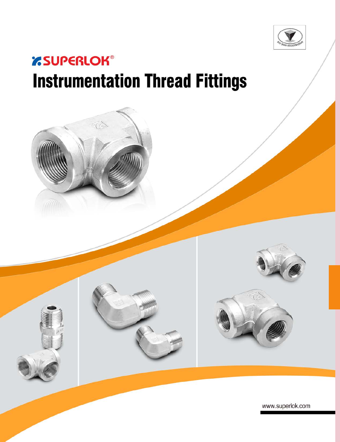

# *'SUPERLOK®* **Instrumentation Thread Fittings**

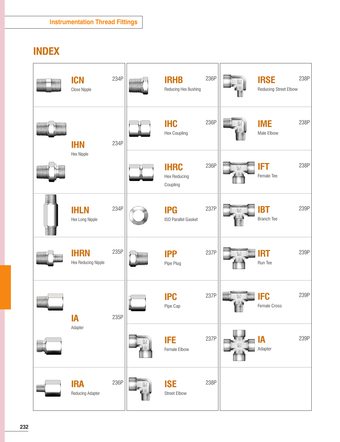## **INDEX**

| <b>MANAL</b>   | <b>ICN</b><br>Close Nipple         | 234P | mmm | <b>IRHB</b><br>Reducing Hex Bushing            | 236P | <b>IRSE</b><br>Reducing Street Elbow | 238P |
|----------------|------------------------------------|------|-----|------------------------------------------------|------|--------------------------------------|------|
| <b>ANALIAN</b> | <b>IHN</b>                         | 234P |     | <b>IHC</b><br>Hex Coupling                     | 236P | <b>IME</b><br>Male Elbow             | 238P |
|                | Hex Nipple                         |      |     | <b>IHRC</b><br><b>Hex Reducing</b><br>Coupling | 236P | <b>IFT</b><br>Female Tee             | 238P |
|                | <b>IHLN</b><br>Hex Long Nipple     | 234P |     | <b>IPG</b><br><b>ISO Parallel Gasket</b>       | 237P | <b>IBT</b><br><b>Branch Tee</b>      | 239P |
|                | <b>IHRN</b><br>Hex Reducing Nipple | 235P |     | <b>IPP</b><br>Pipe Plug                        | 237P | <b>IRT</b><br>Run Tee                | 239P |
| <b>COMMON</b>  | <b>IA</b>                          | 235P |     | <b>IPC</b><br>Pipe Cap                         | 237P | <b>IFC</b><br>Female Cross           | 239P |
| amii           | Adapter                            |      |     | <b>IFE</b><br>Female Elbow                     | 237P | <b>IA</b><br>Adapter                 | 239P |
|                | <b>IRA</b><br>Reducing Adapter     | 236P |     | <b>ISE</b><br><b>Street Elbow</b>              | 238P |                                      |      |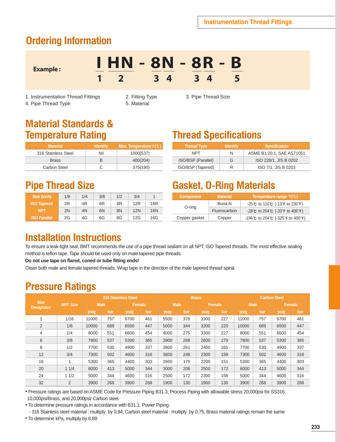## **Ordering Information**

**I HN - 8N - 8R - B 1 2 3 4 3 4 5**

1. Instrumentation Thread Fittings 2. Fitting Type 3. Pipe Thread Size

4. Pipe Thread Type 5. Material

**Example :**

## **Material Standards & Temperature Rating**

| <b>Material</b>     | <b>Identify</b> | Max. Temperature°F(°C) |
|---------------------|-----------------|------------------------|
| 316 Stainless Steel | Nil             | 1000(537)              |
| <b>Brass</b>        |                 | 400(204)               |
| Carbon Steel        |                 | 375(190)               |

## **Pipe Thread Size**

| <b>Size (inch)</b>  | 1/8 | 1/4 | 3/8 | 1/2 | 3/4        |                 |
|---------------------|-----|-----|-----|-----|------------|-----------------|
| <b>ISO Tapered</b>  | 2R  | 4R  | 6R  | 8R  | 12R        | 16 <sub>R</sub> |
| <b>NPT</b>          | 2N  | 4N  | 6N  | 8N  | <b>12N</b> | 16N             |
| <b>ISO Parallel</b> | 2G  | 4G  | 6G  | 8G  | 12G        | 16G             |

## **Thread Specifications**

| <b>Thread Type</b> | <b>Identify</b> | <b>Specification</b>      |
|--------------------|-----------------|---------------------------|
| <b>NPT</b>         | N               | ASME B1.20.1, SAE AS71051 |
| ISO/BSP (Parallel) | G               | ISO 228/1, JIS B 0202     |
| ISO/BSP (Tapered)  | R               | ISO 7/1, JIS B 0203       |

## **Gasket, O-Ring Materials**

| <b>Material</b><br><b>Component</b> |              | Temperature range $F(\mathcal{C})$                                |
|-------------------------------------|--------------|-------------------------------------------------------------------|
|                                     | Buna N       | $-25^{\circ}$ C to 110 $\circ$ C (-13 $\circ$ F to 230 $\circ$ F) |
| O-ring                              | Fluorocarbon | $-28^{\circ}$ C to 204 $\circ$ (-20 $\circ$ F to 400 $\circ$ F)   |
| Copper gasket                       | Copper       | -196°C to 204°C (-325°F to 400°F)                                 |
|                                     |              |                                                                   |

## **Installation Instructions**

To ensure a leak-tight seal, BMT recommends the use of a pipe thread sealant on all NPT, ISO Tapered threads. The most effective sealing method is teflon tape. Tape should be used only on male tapered pipe threads.

**Do not use tape on flared, coned or tube fitting ends!**

Clean both male and female tapered threads. Wrap tape in the direction of the male tapered thread spiral.

## **Pressure Ratings**

|                                  |                         |             |     | <b>316 Stainless Steel</b><br><b>Brass</b> |        |      |             | <b>Carbon Steel</b> |        |       |             |      |        |
|----------------------------------|-------------------------|-------------|-----|--------------------------------------------|--------|------|-------------|---------------------|--------|-------|-------------|------|--------|
| <b>Size</b><br><b>Designator</b> | <b>NPT Size</b>         | <b>Male</b> |     |                                            | Female |      | <b>Male</b> |                     | Female |       | <b>Male</b> |      | Female |
|                                  |                         | psig        | bar | psig                                       | bar    | psig | bar         | psig                | bar    | psig  | bar         | psig | bar    |
|                                  | 1/16                    | 11000       | 757 | 6700                                       | 461    | 5500 | 378         | 3300                | 227    | 11000 | 757         | 6700 | 461    |
| $\overline{2}$                   | 1/8                     | 10000       | 689 | 6500                                       | 447    | 5000 | 344         | 3200                | 220    | 10000 | 689         | 6500 | 447    |
| 4                                | 1/4                     | 8000        | 551 | 6600                                       | 454    | 4000 | 275         | 3300                | 227    | 8000  | 551         | 6600 | 454    |
| 6                                | 3/8                     | 7800        | 537 | 5300                                       | 365    | 3900 | 268         | 2600                | 179    | 7800  | 537         | 5300 | 365    |
| 8                                | 1/2                     | 7700        | 530 | 4900                                       | 337    | 3800 | 261         | 2400                | 165    | 7700  | 530         | 4900 | 337    |
| 12                               | 3/4                     | 7300        | 502 | 4600                                       | 316    | 3600 | 248         | 2300                | 158    | 7300  | 502         | 4600 | 316    |
| 16                               | $\overline{\mathbf{A}}$ | 5300        | 365 | 4400                                       | 303    | 2600 | 179         | 2200                | 151    | 5300  | 365         | 4400 | 303    |
| 20                               | 11/4                    | 6000        | 413 | 5000                                       | 344    | 3000 | 206         | 2500                | 172    | 6000  | 413         | 5000 | 344    |
| 24                               | 11/2                    | 5000        | 344 | 4600                                       | 316    | 2500 | 172         | 2300                | 158    | 5000  | 344         | 4600 | 316    |
| 32                               | 2                       | 3900        | 268 | 3900                                       | 268    | 1900 | 130         | 1900                | 130    | 3900  | 268         | 3900 | 268    |

● Pressure ratings are based on ASME Code for Pressure Piping B31.3, Process Piping with allowable stress 20,000psi for SS316, 10,000psi/Brass, and 20,000psi/ Carbon steel.

• To determine pressure ratings in accordance with B31.1, Power Piping:

- 316 Stainless steel material : multiply by 0.94, Carbon steel material : multiply by 0.75, Brass material ratings remain the same

• To determine kPa, multiply by 6.89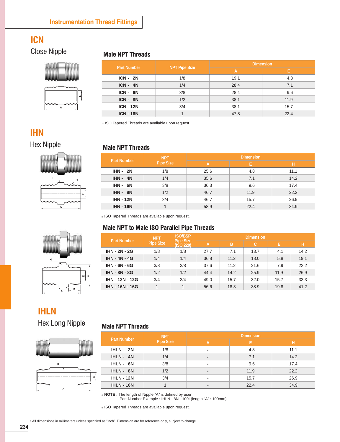## **ICN**

### Close Nipple **Male NPT Threads**

**MANAMALE** 

| 灬灬灬 | mmm |
|-----|-----|
|     |     |

|                      | ш |
|----------------------|---|
| _wwww.<br>!wwww<br>ω |   |

| <b>Part Number</b> |                      | <b>Dimension</b> |      |  |  |
|--------------------|----------------------|------------------|------|--|--|
|                    | <b>NPT Pipe Size</b> | A                | E.   |  |  |
| $ICN - 2N$         | 1/8                  | 19.1             | 4.8  |  |  |
| $ICN - 4N$         | 1/4                  | 28.4             | 7.1  |  |  |
| ICN-6N             | 3/8                  | 28.4             | 9.6  |  |  |
| ICN-8N             | 1/2                  | 38.1             | 11.9 |  |  |
| <b>ICN - 12N</b>   | 3/4                  | 38.1             | 15.7 |  |  |
| <b>ICN - 16N</b>   |                      | 47.8             | 22.4 |  |  |

※ ISO Tapered Threads are available upon request.

## **IHN**

### Hex Nipple **Male NPT Threads**







| <b>Part Number</b> | <b>NPT</b>       | <b>Dimension</b> |      |      |  |  |  |
|--------------------|------------------|------------------|------|------|--|--|--|
|                    | <b>Pipe Size</b> | A                | Е    | н    |  |  |  |
| $IHN - 2N$         | 1/8              | 25.6             | 4.8  | 11.1 |  |  |  |
| $IHN - 4N$         | 1/4              | 35.6             | 7.1  | 14.2 |  |  |  |
| $IHN - 6N$         | 3/8              | 36.3             | 9.6  | 17.4 |  |  |  |
| $IHN - 8N$         | 1/2              | 46.7             | 11.9 | 22.2 |  |  |  |
| <b>IHN - 12N</b>   | 3/4              | 46.7             | 15.7 | 26.9 |  |  |  |
| <b>IHN - 16N</b>   |                  | 58.9             | 22.4 | 34.9 |  |  |  |

※ ISO Tapered Threads are available upon request.

#### **Male NPT to Male ISO Parallel Pipe Threads**

| <b>Part Number</b>     | <b>NPT</b>       | <b>ISO/BSP</b><br><b>Pipe Size</b><br>(ISO 228) | <b>Dimension</b> |      |      |      |      |  |
|------------------------|------------------|-------------------------------------------------|------------------|------|------|------|------|--|
|                        | <b>Pipe Size</b> |                                                 | A                | B    | C.   | E.   | H.   |  |
| <b>IHN - 2N - 2G</b>   | 1/8              | 1/8                                             | 27.7             | 7.1  | 13.7 | 4.1  | 14.2 |  |
| <b>IHN - 4N - 4G</b>   | 1/4              | 1/4                                             | 36.8             | 11.2 | 18.0 | 5.8  | 19.1 |  |
| <b>IHN - 6N - 6G</b>   | 3/8              | 3/8                                             | 37.6             | 11.2 | 21.6 | 7.9  | 22.2 |  |
| <b>IHN - 8N - 8G</b>   | 1/2              | 1/2                                             | 44.4             | 14.2 | 25.9 | 11.9 | 26.9 |  |
| <b>IHN - 12N - 12G</b> | 3/4              | 3/4                                             | 49.0             | 15.7 | 32.0 | 15.7 | 33.3 |  |
| <b>IHN - 16N - 16G</b> |                  | 1                                               | 56.6             | 18.3 | 38.9 | 19.8 | 41.2 |  |

### **IHLN**

Hex Long Nipple





#### **Male NPT Threads**

| <b>Part Number</b> | <b>NPT</b>       | <b>Dimension</b> |      |      |  |  |  |
|--------------------|------------------|------------------|------|------|--|--|--|
|                    | <b>Pipe Size</b> | Α                |      | н    |  |  |  |
| $IHLN - 2N$        | 1/8              | $\star$          | 4.8  | 11.1 |  |  |  |
| $IHLN - 4N$        | 1/4              | $\star$          | 7.1  | 14.2 |  |  |  |
| IHLN-6N            | 3/8              | $\star$          | 9.6  | 17.4 |  |  |  |
| IHLN-8N            | 1/2              | $\star$          | 11.9 | 22.2 |  |  |  |
| <b>IHLN - 12N</b>  | 3/4              | $\star$          | 15.7 | 26.9 |  |  |  |
| <b>IHLN - 16N</b>  |                  | $\star$          | 22.4 | 34.9 |  |  |  |

※ **NOTE :** The length of Nipple "A" is defined by user Part Number Example : IHLN - 8N - 100L(length "A" : 100mm)

※ ISO Tapered Threads are available upon request.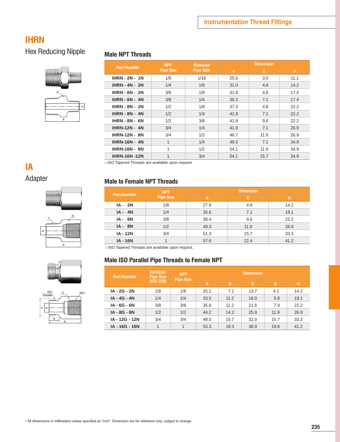### **IHRN**

## Hex Reducing Nipple



#### **Male NPT Threads**

|                       | <b>NPT</b>       | <b>Reduced</b>   | <b>Dimension</b> |      |      |  |
|-----------------------|------------------|------------------|------------------|------|------|--|
| <b>Part Number</b>    | <b>Pipe Size</b> | <b>Pipe Size</b> | A                | E.   | н.   |  |
| $IHRN - 2N - 1N$      | 1/8              | 1/16             | 25.6             | 3.0  | 11.1 |  |
| <b>IHRN - 4N - 2N</b> | 1/4              | 1/8              | 31.0             | 4.8  | 14.2 |  |
| <b>IHRN - 6N - 2N</b> | 3/8              | 1/8              | 31.8             | 4.8  | 17.4 |  |
| $IHRN - 6N - 4N$      | 3/8              | 1/4              | 36.3             | 7.1  | 17.4 |  |
| <b>IHRN - 8N - 2N</b> | 1/2              | 1/8              | 37.3             | 4.8  | 22.2 |  |
| <b>IHRN - 8N - 4N</b> | 1/2              | 1/4              | 41.9             | 7.1  | 22.2 |  |
| <b>IHRN - 8N - 6N</b> | 1/2              | 3/8              | 41.9             | 9.6  | 22.2 |  |
| <b>IHRN-12N - 4N</b>  | 3/4              | 1/4              | 41.9             | 7.1  | 26.9 |  |
| <b>IHRN-12N - 8N</b>  | 3/4              | 1/2              | 46.7             | 11.9 | 26.9 |  |
| <b>IHRN-16N - 4N</b>  | 1                | 1/4              | 49.3             | 7.1  | 34.9 |  |
| <b>IHRN-16N - 8N</b>  | $\mathbf{1}$     | 1/2              | 54.1             | 11.9 | 34.9 |  |
| <b>IHRN-16N-12N</b>   | 1                | 3/4              | 54.1             | 15.7 | 34.9 |  |

※ ISO Tapered Threads are available upon request.

# **IA**

## Adapter





#### **Male to Female NPT Threads**

| <b>Part Number</b> | <b>NPT</b>       | <b>Dimension</b> |      |      |  |
|--------------------|------------------|------------------|------|------|--|
|                    | <b>Pipe Size</b> | А                | E.   | н    |  |
| $IA - 2N$          | 1/8              | 27.9             | 4.8  | 14.2 |  |
| $IA - 4N$          | 1/4              | 35.6             | 7.1  | 19.1 |  |
| $IA - 6N$          | 3/8              | 38.4             | 9.6  | 22.2 |  |
| $IA - 8N$          | 1/2              | 49.3             | 11.9 | 26.9 |  |
| <b>IA - 12N</b>    | 3/4              | 51.3             | 15.7 | 33.3 |  |
| <b>IA - 16N</b>    |                  | 57.9             | 22.4 | 41.2 |  |

※ ISO Tapered Threads are available upon request.

#### **Male ISO Parallel Pipe Threads to Female NPT**

| <b>Part Number</b> | <b>ISO/BSP</b><br><b>Pipe Size</b> | <b>NPT</b><br><b>Pipe Size</b> |      |      | <b>Dimension</b> |      |      |
|--------------------|------------------------------------|--------------------------------|------|------|------------------|------|------|
|                    | (ISO 228)                          |                                | A    | в    | c                | Е    | н    |
| IA - 2G - 2N       | 1/8                                | 1/8                            | 25.1 | 7.1  | 13.7             | 4.1  | 14.2 |
| IA - 4G - 4N       | 1/4                                | 1/4                            | 33.5 | 11.2 | 18.0             | 5.8  | 19.1 |
| IA - 6G - 6N       | 3/8                                | 3/8                            | 35.8 | 11.2 | 21.6             | 7.9  | 22.2 |
| IA - 8G - 8N       | 1/2                                | 1/2                            | 44.2 | 14.2 | 25.9             | 11.9 | 26.9 |
| IA - 12G - 12N     | 3/4                                | 3/4                            | 48.0 | 15.7 | 32.0             | 15.7 | 33.3 |
| IA - 16G - 16N     |                                    | 1                              | 53.3 | 18.3 | 38.9             | 19.8 | 41.2 |





 $\overline{a}$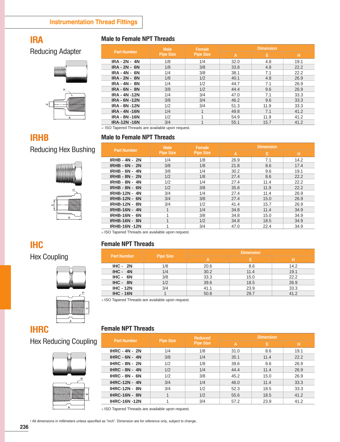## **IRA**

**IRHB** 

#### **Male to Female NPT Threads**

Reducing Adapter



|                      | <b>Male</b>      | Female           | <b>Dimension</b> |      |      |
|----------------------|------------------|------------------|------------------|------|------|
| <b>Part Number</b>   | <b>Pipe Size</b> | <b>Pipe Size</b> | A                | Е    | н    |
| <b>IRA - 2N - 4N</b> | 1/8              | 1/4              | 32.0             | 4.8  | 19.1 |
| <b>IRA - 2N - 6N</b> | 1/8              | 3/8              | 33.8             | 4.8  | 22.2 |
| <b>IRA - 4N - 6N</b> | 1/4              | 3/8              | 38.1             | 7.1  | 22.2 |
| <b>IRA - 2N - 8N</b> | 1/8              | 1/2              | 40.1             | 4.8  | 26.9 |
| <b>IRA - 4N - 8N</b> | 1/4              | 1/2              | 44.7             | 7.1  | 26.9 |
| <b>IRA - 6N - 8N</b> | 3/8              | 1/2              | 44.4             | 9.6  | 26.9 |
| <b>IRA - 4N -12N</b> | 1/4              | 3/4              | 47.0             | 7.1  | 33.3 |
| <b>IRA - 6N -12N</b> | 3/8              | 3/4              | 46.2             | 9.6  | 33.3 |
| <b>IRA - 8N -12N</b> | 1/2              | 3/4              | 51.3             | 11.9 | 33.3 |
| <b>IRA - 4N -16N</b> | 1/4              |                  | 49.8             | 7.1  | 41.2 |
| <b>IRA - 8N -16N</b> | 1/2              | 4                | 54.9             | 11.9 | 41.2 |
| <b>IRA-12N-16N</b>   | 3/4              |                  | 55.1             | 15.7 | 41.2 |

※ ISO Tapered Threads are available upon request.

#### **Male to Female NPT Threads**

## Reducing Hex Bushing



|                       | <b>Male</b>              | Female           | <b>Dimension</b> |      |      |
|-----------------------|--------------------------|------------------|------------------|------|------|
| <b>Part Number</b>    | <b>Pipe Size</b>         | <b>Pipe Size</b> | A                | Е    | H    |
| <b>IRHB - 4N - 2N</b> | 1/4                      | 1/8              | 26.9             | 7.1  | 14.2 |
| <b>IRHB - 6N - 2N</b> | 3/8                      | 1/8              | 21.8             | 8.6  | 17.4 |
| <b>IRHB - 6N - 4N</b> | 3/8                      | 1/4              | 30.2             | 9.6  | 19.1 |
| <b>IRHB - 8N - 2N</b> | 1/2                      | 1/8              | 27.4             | 8.6  | 22.2 |
| <b>IRHB - 8N - 4N</b> | 1/2                      | 1/4              | 27.4             | 11.4 | 22.2 |
| <b>IRHB - 8N - 6N</b> | 1/2                      | 3/8              | 35.8             | 11.9 | 22.2 |
| <b>IRHB-12N - 4N</b>  | 3/4                      | 1/4              | 27.4             | 11.4 | 26.9 |
| <b>IRHB-12N - 6N</b>  | 3/4                      | 3/8              | 27.4             | 15.0 | 26.9 |
| <b>IRHB-12N - 8N</b>  | 3/4                      | 1/2              | 41.4             | 15.7 | 26.9 |
| <b>IRHB-16N - 4N</b>  | 1                        | 1/4              | 34.8             | 11.4 | 34.9 |
| <b>IRHB-16N - 6N</b>  | 1                        | 3/8              | 34.8             | 15.0 | 34.9 |
| <b>IRHB-16N - 8N</b>  | 1                        | 1/2              | 34.8             | 18.5 | 34.9 |
| <b>IRHB-16N-12N</b>   | $\overline{\mathcal{A}}$ | 3/4              | 47.0             | 22.4 | 34.9 |

※ ISO Tapered Threads are available upon request.

#### **Female NPT Threads**

**Female NPT Threads**

| <b>Part Number</b> | <b>Pipe Size</b> | <b>Dimension</b> |      |      |  |
|--------------------|------------------|------------------|------|------|--|
|                    |                  |                  |      |      |  |
| $IHC - 2N$         | 1/8              | 20.6             | 8.6  | 14.2 |  |
| $IHC - 4N$         | 1/4              | 30.2             | 11.4 | 19.1 |  |
| $IHC - 6N$         | 3/8              | 33.3             | 15.0 | 22.2 |  |
| $IHC - 8N$         | 1/2              | 39.6             | 18.5 | 26.9 |  |
| <b>IHC - 12N</b>   | 3/4              | 41.1             | 23.9 | 33.3 |  |
| <b>IHC - 16N</b>   |                  | 50.8             | 29.7 | 41.2 |  |

※ ISO Tapered Threads are available upon request.

#### **IHRC**

**IHC** 

Hex Coupling

#### Hex Reducing Coupling



|                       |                  | <b>Reduced</b>   | <b>Dimension</b> |      |      |
|-----------------------|------------------|------------------|------------------|------|------|
| <b>Part Number</b>    | <b>Pipe Size</b> | <b>Pipe Size</b> | A                | Е    | н    |
| $IHRC - 4N - 2N$      | 1/4              | 1/8              | 31.0             | 8.6  | 19.1 |
| $IHRC - 6N - 4N$      | 3/8              | 1/4              | 35.1             | 11.4 | 22.2 |
| $IHRC - 8N - 2N$      | 1/2              | 1/8              | 39.6             | 8.6  | 26.9 |
| <b>IHRC - 8N - 4N</b> | 1/2              | 1/4              | 44.4             | 11.4 | 26.9 |
| $IHRC - 8N - 6N$      | 1/2              | 3/8              | 45.2             | 15.0 | 26.9 |
| <b>IHRC-12N - 4N</b>  | 3/4              | 1/4              | 46.0             | 11.4 | 33.3 |
| <b>IHRC-12N - 8N</b>  | 3/4              | 1/2              | 52.3             | 18.5 | 33.3 |
| <b>IHRC-16N - 8N</b>  |                  | 1/2              | 55.6             | 18.5 | 41.2 |
| <b>IHRC-16N-12N</b>   |                  | 3/4              | 57.2             | 23.9 | 41.2 |
|                       |                  |                  |                  |      |      |

※ ISO Tapered Threads are available upon request.

• All dimensions in millimeters unless specified as "inch". Dimension are for reference only, subject to change.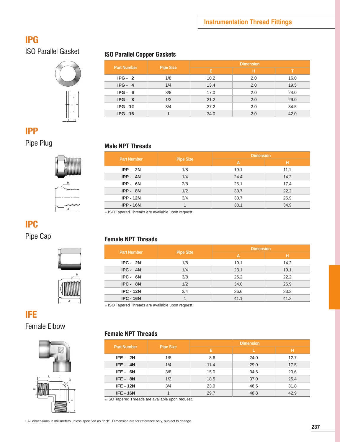## **IPG**



## ISO Parallel Gasket **ISO Parallel Copper Gaskets**

| <b>Part Number</b> |                  | <b>Dimension</b> |     |      |  |  |
|--------------------|------------------|------------------|-----|------|--|--|
|                    | <b>Pipe Size</b> | Е                | н   |      |  |  |
| $IPG - 2$          | 1/8              | 10.2             | 2.0 | 16.0 |  |  |
| $IPG - 4$          | 1/4              | 13.4             | 2.0 | 19.5 |  |  |
| $IPG - 6$          | 3/8              | 17.0             | 2.0 | 24.0 |  |  |
| $IPG - 8$          | 1/2              | 21.2             | 2.0 | 29.0 |  |  |
| $IPG - 12$         | 3/4              | 27.2             | 2.0 | 34.5 |  |  |
| $IPG - 16$         |                  | 34.0             | 2.0 | 42.0 |  |  |

### **IPP**

## Pipe Plug **Male NPT Threads**

| <b>Part Number</b> | <b>Pipe Size</b> | <b>Dimension</b> |      |  |
|--------------------|------------------|------------------|------|--|
|                    |                  | A                | н    |  |
| $IPP - 2N$         | 1/8              | 19.1             | 11.1 |  |
| $IPP - 4N$         | 1/4              | 24.4             | 14.2 |  |
| $IPP - 6N$         | 3/8              | 25.1             | 17.4 |  |
| $IPP - 8N$         | 1/2              | 30.7             | 22.2 |  |
| <b>IPP - 12N</b>   | 3/4              | 30.7             | 26.9 |  |
| <b>IPP - 16N</b>   |                  | 38.1             | 34.9 |  |

※ ISO Tapered Threads are available upon request.

## **IPC**



## Pipe Cap **Female NPT Threads**

| <b>Part Number</b> | <b>Pipe Size</b> | <b>Dimension</b> |      |  |
|--------------------|------------------|------------------|------|--|
|                    |                  | A                | н    |  |
| $IPC - 2N$         | 1/8              | 19.1             | 14.2 |  |
| $IPC - 4N$         | 1/4              | 23.1             | 19.1 |  |
| IPC - 6N           | 3/8              | 26.2             | 22.2 |  |
| $IPC - 8N$         | 1/2              | 34.0             | 26.9 |  |
| <b>IPC - 12N</b>   | 3/4              | 36.6             | 33.3 |  |
| <b>IPC - 16N</b>   |                  | 41.1             | 41.2 |  |

※ ISO Tapered Threads are available upon request.

## **IFE**

Female Elbow



#### **Female NPT Threads**

| <b>Part Number</b> | <b>Pipe Size</b> | <b>Dimension</b> |      |      |  |  |
|--------------------|------------------|------------------|------|------|--|--|
|                    |                  | Е                |      | н    |  |  |
| $IFE - 2N$         | 1/8              | 8.6              | 24.0 | 12.7 |  |  |
| $IFE - 4N$         | 1/4              | 11.4             | 29.0 | 17.5 |  |  |
| IFE-6N             | 3/8              | 15.0             | 34.5 | 20.6 |  |  |
| $IFE - 8N$         | 1/2              | 18.5             | 37.0 | 25.4 |  |  |
| <b>IFE - 12N</b>   | 3/4              | 23.9             | 46.5 | 31.8 |  |  |
| <b>IFE-16N</b>     |                  | 29.7             | 48.8 | 42.9 |  |  |

※ ISO Tapered Threads are available upon request.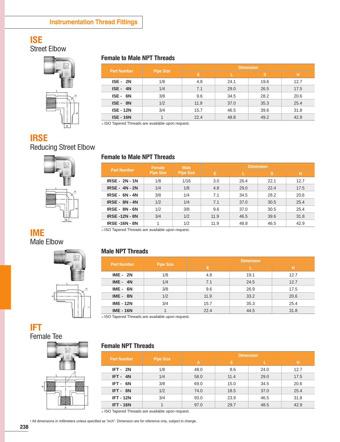## **ISE**

Street Elbow



### **IRSE**

Reducing Street Elbow



| <b>Part Number</b> |                  | <b>Dimension</b> |      |      |      |  |
|--------------------|------------------|------------------|------|------|------|--|
|                    | <b>Pipe Size</b> | Е                |      | s    | н    |  |
| $ISE - 2N$         | 1/8              | 4.8              | 24.1 | 19.6 | 12.7 |  |
| $ISE - 4N$         | 1/4              | 7.1              | 29.0 | 26.5 | 17.5 |  |
| ISE- 6N            | 3/8              | 9.6              | 34.5 | 28.2 | 20.6 |  |
| ISE - 8N           | 1/2              | 11.9             | 37.0 | 35.3 | 25.4 |  |
| <b>ISE - 12N</b>   | 3/4              | 15.7             | 46.5 | 39.6 | 31.8 |  |
| <b>ISE - 16N</b>   |                  | 22.4             | 48.8 | 49.2 | 42.9 |  |

※ ISO Tapered Threads are available upon request.

**Female to Male NPT Threads**

#### **Part Number Female Pipe Size Male Pipe Size Dimension E L S H IRSE - 2N - 1N** 1/8 1/16 3.0 26.4 22.1 12.7 **IRSE - 4N - 2N** 1/4 1/8 4.8 29.0 22.4 17.5 **IRSE - 6N - 4N** 3/8 1/4 7.1 34.5 28.2 20.6 **IRSE - 8N - 4N** 1/2 1/4 7.1 37.0 30.5 25.4 **IRSE - 8N - 6N**  $\begin{array}{|c|c|c|c|c|c|} \hline 1 & 3/8 & 9.6 & 37.0 & 30.5 & 25.4 \ \hline \end{array}$ **IRSE -12N - 8N** 3/4 1/2 11.9 46.5 39.6 31.8

**IRSE -16N - 8N** 1 1/2 11.9 48.8 46.5 42.9

※ ISO Tapered Threads are available upon request.



#### **Male NPT Threads**

| <b>Part Number</b> | <b>Pipe Size</b> | <b>Dimension</b> |      |      |  |  |
|--------------------|------------------|------------------|------|------|--|--|
|                    |                  | Е                |      | Ή    |  |  |
| $IME - 2N$         | 1/8              | 4.8              | 19.1 | 12.7 |  |  |
| $IME - 4N$         | 1/4              | 7.1              | 24.5 | 12.7 |  |  |
| $IME - 6N$         | 3/8              | 9.6              | 26.9 | 17.5 |  |  |
| $IME - 8N$         | 1/2              | 11.9             | 33.2 | 20.6 |  |  |
| <b>IME - 12N</b>   | 3/4              | 15.7             | 35.3 | 25.4 |  |  |
| <b>IME - 16N</b>   |                  | 22.4             | 44.5 | 31.8 |  |  |

※ ISO Tapered Threads are available upon request.

#### **Female NPT Threads**

| <b>Part Number</b> | <b>Pipe Size</b> | <b>Dimension</b> |      |      |      |  |
|--------------------|------------------|------------------|------|------|------|--|
|                    |                  | A                | E.   |      | н    |  |
| $IFT - 2N$         | 1/8              | 48.0             | 8.6  | 24.0 | 12.7 |  |
| $IFT - 4N$         | 1/4              | 58.0             | 11.4 | 29.0 | 17.5 |  |
| IFT-6N             | 3/8              | 69.0             | 15.0 | 34.5 | 20.6 |  |
| IFT-8N             | 1/2              | 74.0             | 18.5 | 37.0 | 25.4 |  |
| <b>IFT - 12N</b>   | 3/4              | 93.0             | 23.9 | 46.5 | 31.8 |  |
| <b>IFT - 16N</b>   |                  | 97.0             | 29.7 | 48.5 | 42.9 |  |

※ ISO Tapered Threads are available upon request.

• All dimensions in millimeters unless specified as "inch". Dimension are for reference only, subject to change.

**IFT** 

Female Tee

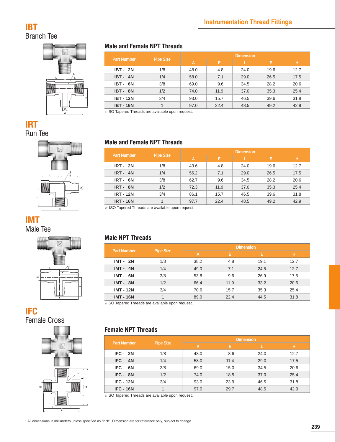### **IBT**  Branch Tee



### **IRT**  Run Tee



## **IMT**

Male Tee



#### **IFC**  Female Cross



#### **Male and Female NPT Threads**

| <b>Part Number</b> | <b>Pipe Size</b> | <b>Dimension</b> |      |      |      |      |  |
|--------------------|------------------|------------------|------|------|------|------|--|
|                    |                  | A                | E.   |      | s    | н    |  |
| <b>IBT - 2N</b>    | 1/8              | 48.0             | 4.8  | 24.0 | 19.6 | 12.7 |  |
| <b>IBT - 4N</b>    | 1/4              | 58.0             | 7.1  | 29.0 | 26.5 | 17.5 |  |
| IBT-6N             | 3/8              | 69.0             | 9.6  | 34.5 | 28.2 | 20.6 |  |
| IBT - 8N           | 1/2              | 74.0             | 11.9 | 37.0 | 35.3 | 25.4 |  |
| <b>IBT - 12N</b>   | 3/4              | 93.0             | 15.7 | 46.5 | 39.6 | 31.8 |  |
| <b>IBT-16N</b>     | 1                | 97.0             | 22.4 | 48.5 | 49.2 | 42.9 |  |

※ ISO Tapered Threads are available upon request.

#### **Male and Female NPT Threads**

| <b>Part Number</b> | <b>Pipe Size</b> | <b>Dimension</b> |      |      |      |      |  |
|--------------------|------------------|------------------|------|------|------|------|--|
|                    |                  | A                | E.   |      | s    | н    |  |
| <b>IRT - 2N</b>    | 1/8              | 43.6             | 4.8  | 24.0 | 19.6 | 12.7 |  |
| $IRT - 4N$         | 1/4              | 56.2             | 7.1  | 29.0 | 26.5 | 17.5 |  |
| $IRT - 6N$         | 3/8              | 62.7             | 9.6  | 34.5 | 28.2 | 20.6 |  |
| $IRT - 8N$         | 1/2              | 72.3             | 11.9 | 37.0 | 35.3 | 25.4 |  |
| <b>IRT - 12N</b>   | 3/4              | 86.1             | 15.7 | 46.5 | 39.6 | 31.8 |  |
| <b>IRT - 16N</b>   | 1                | 97.7             | 22.4 | 48.5 | 49.2 | 42.9 |  |

※ ISO Tapered Threads are available upon request.

#### **Male NPT Threads**

| <b>Part Number</b> | <b>Pipe Size</b> | <b>Dimension</b> |      |      |      |  |
|--------------------|------------------|------------------|------|------|------|--|
|                    |                  | A                | Е    |      | н    |  |
| <b>IMT - 2N</b>    | 1/8              | 38.2             | 4.8  | 19.1 | 12.7 |  |
| $IMT - 4N$         | 1/4              | 49.0             | 7.1  | 24.5 | 12.7 |  |
| $IMT - 6N$         | 3/8              | 53.8             | 9.6  | 26.9 | 17.5 |  |
| $IMT - 8N$         | 1/2              | 66.4             | 11.9 | 33.2 | 20.6 |  |
| <b>IMT - 12N</b>   | 3/4              | 70.6             | 15.7 | 35.3 | 25.4 |  |
| <b>IMT - 16N</b>   |                  | 89.0             | 22.4 | 44.5 | 31.8 |  |

※ ISO Tapered Threads are available upon request.

#### **Female NPT Threads**

| <b>Part Number</b> | <b>Pipe Size</b> | <b>Dimension</b> |      |      |      |  |
|--------------------|------------------|------------------|------|------|------|--|
|                    |                  | A                | E.   |      | н    |  |
| $IFC - 2N$         | 1/8              | 48.0             | 8.6  | 24.0 | 12.7 |  |
| $IFC - 4N$         | 1/4              | 58.0             | 11.4 | 29.0 | 17.5 |  |
| IFC - 6N           | 3/8              | 69.0             | 15.0 | 34.5 | 20.6 |  |
| IFC - 8N           | 1/2              | 74.0             | 18.5 | 37.0 | 25.4 |  |
| <b>IFC - 12N</b>   | 3/4              | 93.0             | 23.9 | 46.5 | 31.8 |  |
| <b>IFC - 16N</b>   |                  | 97.0             | 29.7 | 48.5 | 42.9 |  |

※ ISO Tapered Threads are available upon request.

• All dimensions in millimeters unless specified as "inch". Dimension are for reference only, subject to change.